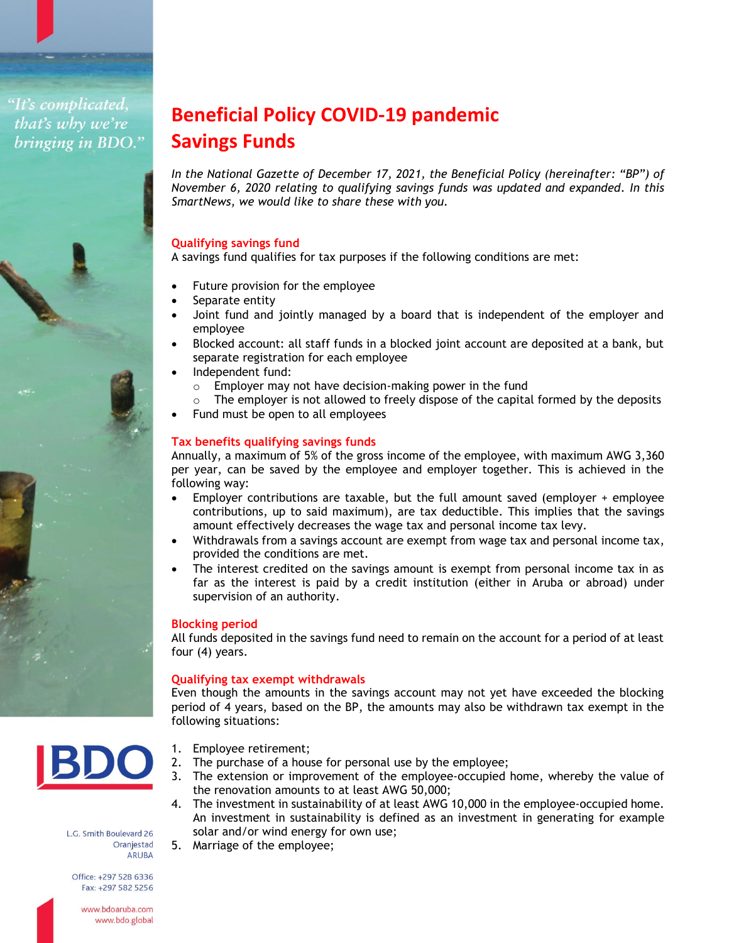"It's complicated, that's why we're bringing in BDO."

# **Beneficial Policy COVID-19 pandemic Savings Funds**

*In the National Gazette of December 17, 2021, the Beneficial Policy (hereinafter: "BP") of November 6, 2020 relating to qualifying savings funds was updated and expanded. In this SmartNews, we would like to share these with you.*

# **Qualifying savings fund**

A savings fund qualifies for tax purposes if the following conditions are met:

- Future provision for the employee
- Separate entity
- Joint fund and jointly managed by a board that is independent of the employer and employee
- Blocked account: all staff funds in a blocked joint account are deposited at a bank, but separate registration for each employee
- Independent fund:
	- o Employer may not have decision-making power in the fund
	- $\circ$  The employer is not allowed to freely dispose of the capital formed by the deposits
- Fund must be open to all employees

# **Tax benefits qualifying savings funds**

Annually, a maximum of 5% of the gross income of the employee, with maximum AWG 3,360 per year, can be saved by the employee and employer together. This is achieved in the following way:

- Employer contributions are taxable, but the full amount saved (employer + employee contributions, up to said maximum), are tax deductible. This implies that the savings amount effectively decreases the wage tax and personal income tax levy.
- Withdrawals from a savings account are exempt from wage tax and personal income tax, provided the conditions are met.
- The interest credited on the savings amount is exempt from personal income tax in as far as the interest is paid by a credit institution (either in Aruba or abroad) under supervision of an authority.

### **Blocking period**

All funds deposited in the savings fund need to remain on the account for a period of at least four (4) years.

# **Qualifying tax exempt withdrawals**

Even though the amounts in the savings account may not yet have exceeded the blocking period of 4 years, based on the BP, the amounts may also be withdrawn tax exempt in the following situations:



- 1. Employee retirement;
- 2. The purchase of a house for personal use by the employee;
- 3. The extension or improvement of the employee-occupied home, whereby the value of the renovation amounts to at least AWG 50,000;
- 4. The investment in sustainability of at least AWG 10,000 in the employee-occupied home. An investment in sustainability is defined as an investment in generating for example solar and/or wind energy for own use; 5. Marriage of the employee;

L.G. Smith Boulevard 26 Oranjestad **ARUBA** 

Office: +297 528 6336 Fax: +297 582 5256

> www.bdoaruba.com www.bdo.global